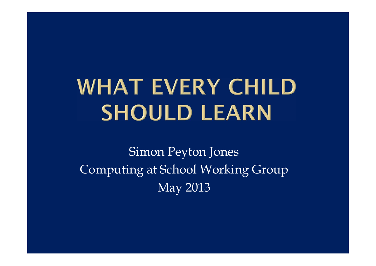## **WHAT EVERY CHILD SHOULD LEARN**

Simon Peyton Jones Computing at School Working Group May 2013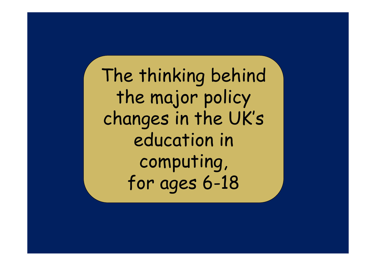The thinking behind the major policy changes in the UK's education in computing, for ages 6-18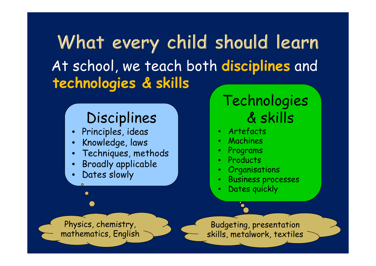What every child should learn At school, we teach both **disciplines** and **technologies & skills**

#### Disciplines

- $\bullet$ Principles, ideas
- $\bullet$ Knowledge, laws
- •Techniques, methods
- •Broadly applicable
- •Dates slowly

 $\bullet$ 

#### Technologies & skills

- •Artefacts
- •Machines
- •Programs
- •Products
- •**Organisations**
- •Business processes
- •Dates quickly

Physics, chemistry, mathematics, English

Budgeting, presentation skills, metalwork, textiles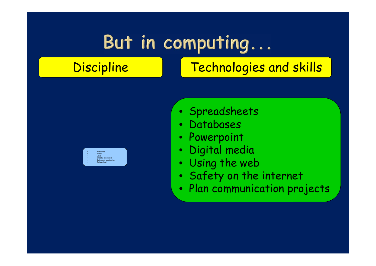### But in computing...

#### Discipline | Technologies and skills



- Spreadsheets
- $\bullet$ Databases
- $\bullet$ Powerpoint
- $\bullet$ Digital media
- $\bullet$ Using the web
- $\bullet$ Safety on the internet
- $\bullet$ Plan communication projects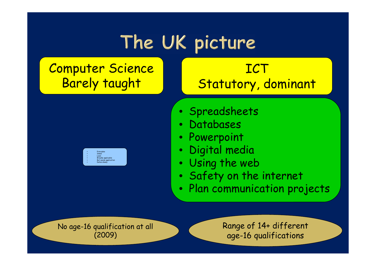### The UK picture

#### Computer Science Barely taught



#### **ICT** Statutory, dominant

- Spreadsheets
- $\bullet$ Databases
- $\bullet$ Powerpoint
- $\bullet$ Digital media
- $\bullet$ Using the web
- $\bullet$ Safety on the internet
- $\bullet$ Plan communication projects

No age-16 qualification at all (2009)

Range of 14+ different age-16 qualifications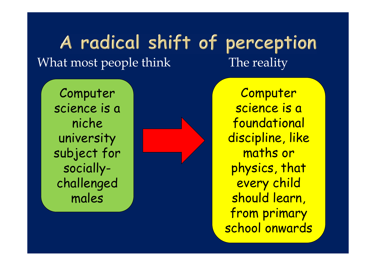#### A radical shift of perception What most people think The reality

Computer science is a niche university subject for sociallychallenged males

**Computer** science is a foundational discipline, like maths or physics, that every child should learn, from primary school onwards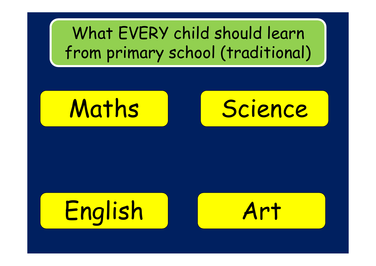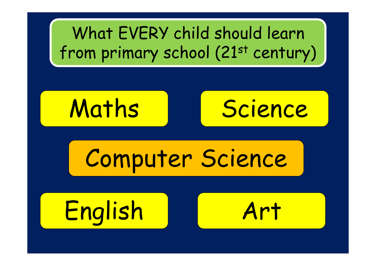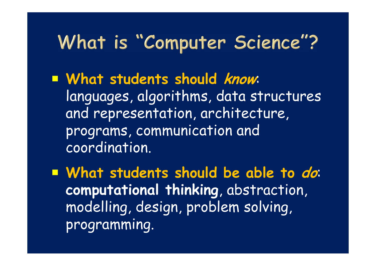### What is "Computer Science"?

 **What students should know**: languages, algorithms, data structures and representation, architecture, programs, communication and coordination.

 **What students should be able to do**: **computational thinking**, abstraction, modelling, design, problem solving, programming.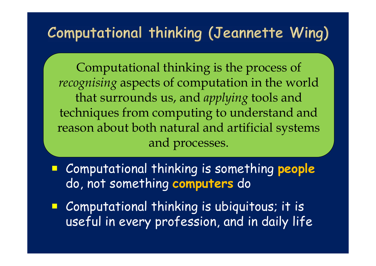#### Computational thinking (Jeannette Wing)

Computational thinking is the process of *recognising* aspects of computation in the world that surrounds us, and *applying* tools and techniques from computing to understand and reason about both natural and artificial systems and processes.

- Computational thinking is something **people** do, not something **computers** do
- e<br>1 Computational thinking is ubiquitous; it is useful in every profession, and in daily life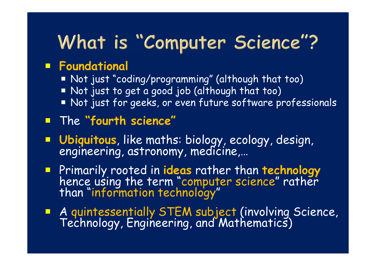### What is "Computer Science"?

#### **Foundational**

- Not just "coding/programming" (although that too)
- Not just to get a good job (although that too)
- Not just for geeks, or even future software professionals

#### The **"fourth science"**

- **Ubiquitous**, like maths: biology, ecology, design,<br>engineering, astronomy, medicine,...
- Primarily rooted in **ideas** rather than **technology** hence using the term "computer science" rather than "information technology"
- **A quintessentially STEM subject (involving Science, Technology, Engineering, and Mathematics)**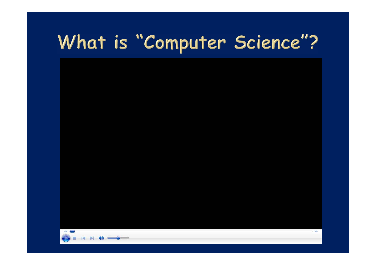### What is "Computer Science"?

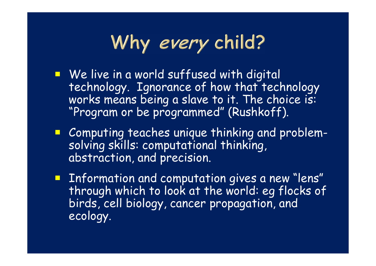### Why every child?

- **We live in a world suffused with digital** technology. Ignorance of how that technology works means being a slave to it. The choice is: "Program or be programmed" (Rushkoff).
- **E** Computing teaches unique thinking and problemsolving skills: computational thinking, abstraction, and precision.
- **E** Information and computation gives a new "lens" through which to look at the world: eg flocks of birds, cell biology, cancer propagation, and ecology.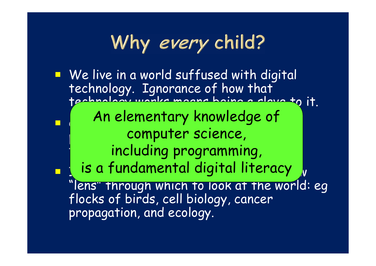### Why every child?

**Ne live in a world suffused with digital** technology. Ignorance of how that technology works means being a slave to it.  $\Box$ Computing teachers unique the computation of the computation of the computation of the computation of the computation of the computation of the computation of the computation of the computation of the computation of the co computer science,  $\parallel$  and including programming, and  $\vert$ ò.  $\blacksquare$  is a fundamental digital literacy  $\lrcorner_{\mathsf{v}}$ lens" through which to look at the world: eg flocks of birds, cell biology, cancer propagation, and ecology. An elementary knowledge of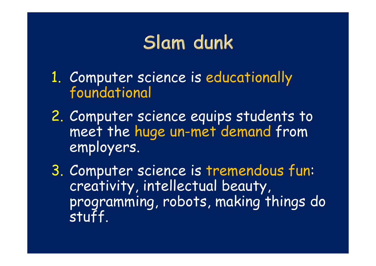### Slam dunk

- 1. Computer science is educationally foundational
- 2. Computer science equips students to meet the huge un-met demand from employers.
- 3. Computer science is tremendous fun: creativity, intellectual beauty, programming, robots, making things do stuff.